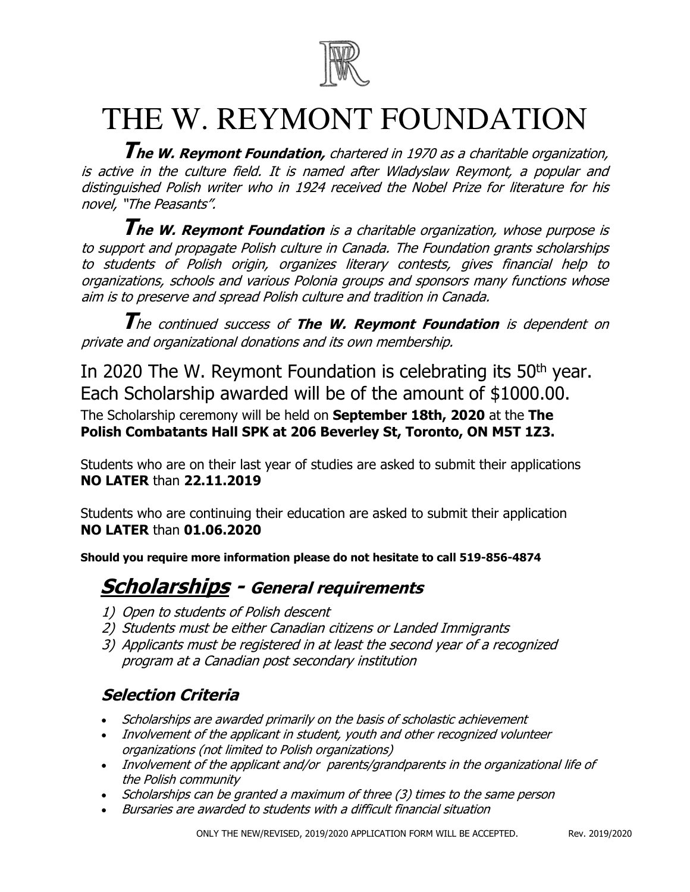

# THE W. REYMONT FOUNDATION

**The W. Reymont Foundation,** chartered in 1970 as a charitable organization, is active in the culture field. It is named after Wladyslaw Reymont, a popular and distinguished Polish writer who in 1924 received the Nobel Prize for literature for his novel, "The Peasants".

**The W. Reymont Foundation** is a charitable organization, whose purpose is to support and propagate Polish culture in Canada. The Foundation grants scholarships to students of Polish origin, organizes literary contests, gives financial help to organizations, schools and various Polonia groups and sponsors many functions whose aim is to preserve and spread Polish culture and tradition in Canada.

**T**he continued success of **The W. Reymont Foundation** is dependent on private and organizational donations and its own membership.

In 2020 The W. Reymont Foundation is celebrating its 50<sup>th</sup> year. Each Scholarship awarded will be of the amount of \$1000.00. The Scholarship ceremony will be held on **September 18th, 2020** at the **The Polish Combatants Hall SPK at 206 Beverley St, Toronto, ON M5T 1Z3.**

Students who are on their last year of studies are asked to submit their applications **NO LATER** than **22.11.2019**

Students who are continuing their education are asked to submit their application **NO LATER** than **01.06.2020**

**Should you require more information please do not hesitate to call 519-856-4874** 

# **Scholarships - General requirements**

- 1) Open to students of Polish descent
- 2) Students must be either Canadian citizens or Landed Immigrants
- 3) Applicants must be registered in at least the second year of a recognized program at a Canadian post secondary institution

# **Selection Criteria**

- Scholarships are awarded primarily on the basis of scholastic achievement
- Involvement of the applicant in student, youth and other recognized volunteer organizations (not limited to Polish organizations)
- Involvement of the applicant and/or parents/grandparents in the organizational life of the Polish community
- Scholarships can be granted a maximum of three (3) times to the same person
- Bursaries are awarded to students with a difficult financial situation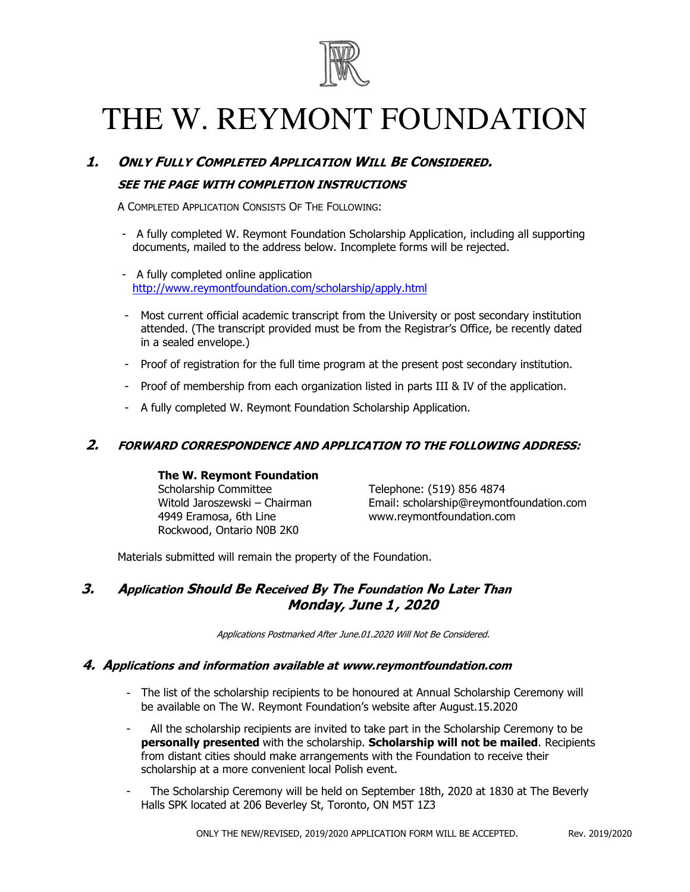

# THE W. REYMONT FOUNDATION

### **1. ONLY FULLY COMPLETED APPLICATION WILL BE CONSIDERED.**

### **SEE THE PAGE WITH COMPLETION INSTRUCTIONS**

A COMPLETED APPLICATION CONSISTS OF THE FOLLOWING:

- A fully completed W. Reymont Foundation Scholarship Application, including all supporting documents, mailed to the address below. Incomplete forms will be rejected.
- A fully completed online application [http://www.reymontfoundation.com/scholarship/](http://www.reymontfoundation.com/scholarship/index.php)apply.html
- Most current official academic transcript from the University or post secondary institution attended. (The transcript provided must be from the Registrar's Office, be recently dated in a sealed envelope.)
- Proof of registration for the full time program at the present post secondary institution.
- Proof of membership from each organization listed in parts III & IV of the application.
- A fully completed W. Reymont Foundation Scholarship Application.

### **2. FORWARD CORRESPONDENCE AND APPLICATION TO THE FOLLOWING ADDRESS:**

#### **The W. Reymont Foundation**

Scholarship Committee Witold Jaroszewski – Chairman 4949 Eramosa, 6th Line Rockwood, Ontario N0B 2K0

Telephone: (519) 856 4874 Email: scholarship@reymontfoundation.com www.reymontfoundation.com

Materials submitted will remain the property of the Foundation.

### **3. Application Should Be Received By The Foundation No Later Than Monday, June 1, 2020**

Applications Postmarked After June.01.2020 Will Not Be Considered.

#### **4. Applications and information available at www.reymontfoundation.com**

- The list of the scholarship recipients to be honoured at Annual Scholarship Ceremony will be available on The W. Reymont Foundation's website after August.15.2020
- All the scholarship recipients are invited to take part in the Scholarship Ceremony to be **personally presented** with the scholarship. **Scholarship will not be mailed**. Recipients from distant cities should make arrangements with the Foundation to receive their scholarship at a more convenient local Polish event.
- The Scholarship Ceremony will be held on September 18th, 2020 at 1830 at The Beverly Halls SPK located at 206 Beverley St, Toronto, ON M5T 1Z3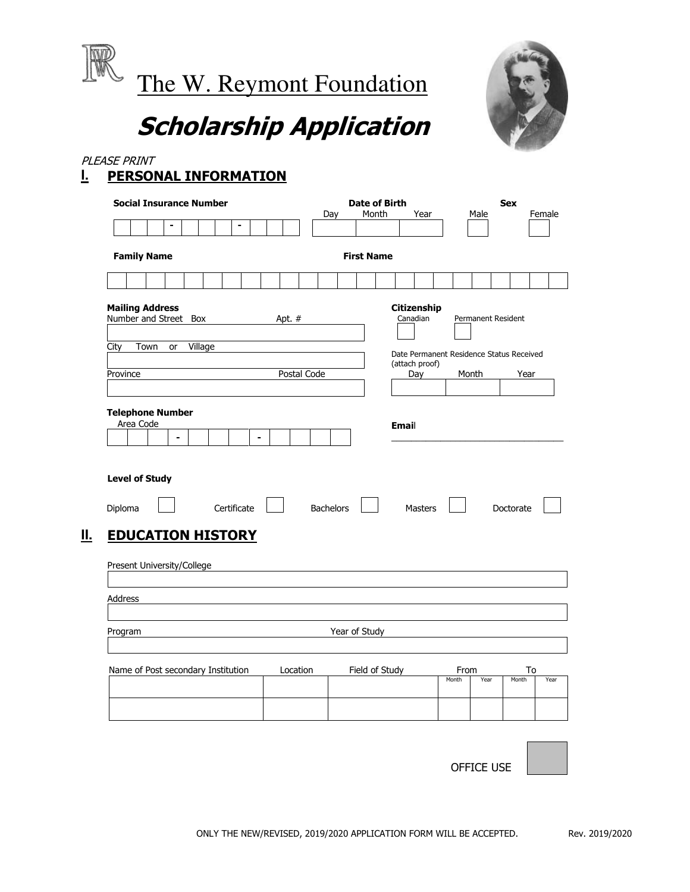

# **Scholarship Application**

### PLEASE PRINT **I. PERSONAL INFORMATION**

| <b>Social Insurance Number</b>                               |                |             |                |                |                   | Day              |               | Month | <b>Date of Birth</b> |       | Year                    |       | Male               | <b>Sex</b> |                                          | Female |
|--------------------------------------------------------------|----------------|-------------|----------------|----------------|-------------------|------------------|---------------|-------|----------------------|-------|-------------------------|-------|--------------------|------------|------------------------------------------|--------|
|                                                              | $\blacksquare$ |             | $\blacksquare$ |                |                   |                  |               |       |                      |       |                         |       |                    |            |                                          |        |
| <b>Family Name</b>                                           |                |             |                |                | <b>First Name</b> |                  |               |       |                      |       |                         |       |                    |            |                                          |        |
|                                                              |                |             |                |                |                   |                  |               |       |                      |       |                         |       |                    |            |                                          |        |
| <b>Mailing Address</b><br>Number and Street Box              |                |             |                |                | Apt. $#$          |                  |               |       |                      |       | Citizenship<br>Canadian |       | Permanent Resident |            |                                          |        |
| City<br>Town                                                 | Village<br>or  |             |                |                |                   |                  |               |       |                      |       |                         |       |                    |            | Date Permanent Residence Status Received |        |
| Province                                                     |                |             |                |                | Postal Code       |                  |               |       |                      |       | (attach proof)<br>Day   |       | Month              |            | Year                                     |        |
|                                                              |                |             |                |                |                   |                  |               |       |                      |       |                         |       |                    |            |                                          |        |
| <b>Telephone Number</b><br>Area Code                         | $\blacksquare$ |             |                | $\blacksquare$ |                   |                  |               |       |                      | Email |                         |       |                    |            |                                          |        |
| <b>Level of Study</b><br>Diploma<br><b>EDUCATION HISTORY</b> |                | Certificate |                |                |                   | <b>Bachelors</b> |               |       |                      |       | <b>Masters</b>          |       |                    |            | Doctorate                                |        |
| Present University/College                                   |                |             |                |                |                   |                  |               |       |                      |       |                         |       |                    |            |                                          |        |
|                                                              |                |             |                |                |                   |                  |               |       |                      |       |                         |       |                    |            |                                          |        |
| Address<br>Program                                           |                |             |                |                |                   |                  | Year of Study |       |                      |       |                         |       |                    |            |                                          |        |
| Name of Post secondary Institution                           |                |             |                |                | Location          |                  |               |       | Field of Study       |       |                         | From  |                    |            | To                                       |        |
|                                                              |                |             |                |                |                   |                  |               |       |                      |       |                         | Month | Year               |            | Month                                    | Year   |

OFFICE USE

ONLY THE NEW/REVISED, 2019/2020 APPLICATION FORM WILL BE ACCEPTED. Rev. 2019/2020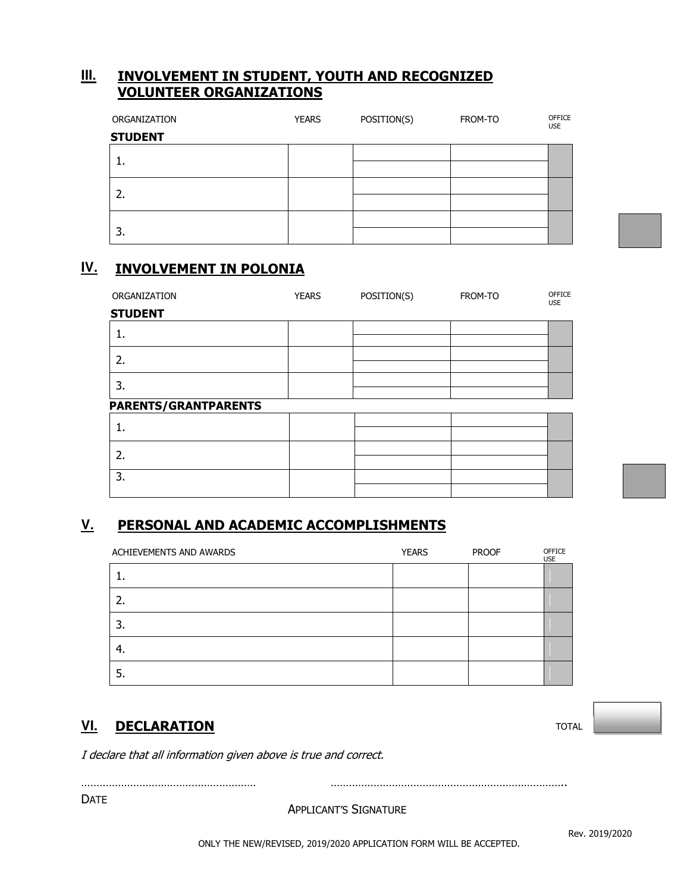### **III. INVOLVEMENT IN STUDENT, YOUTH AND RECOGNIZED VOLUNTEER ORGANIZATIONS**

| ORGANIZATION   | <b>YEARS</b> | POSITION(S) | FROM-TO | OFFICE<br><b>USE</b> |
|----------------|--------------|-------------|---------|----------------------|
| <b>STUDENT</b> |              |             |         |                      |
|                |              |             |         |                      |
| <b>.</b>       |              |             |         |                      |
| 2.             |              |             |         |                      |
|                |              |             |         |                      |
|                |              |             |         |                      |
| 3.             |              |             |         |                      |

## **IV. INVOLVEMENT IN POLONIA**

| ORGANIZATION                | <b>YEARS</b> | POSITION(S) | FROM-TO | OFFICE<br><b>USE</b> |
|-----------------------------|--------------|-------------|---------|----------------------|
| <b>STUDENT</b>              |              |             |         |                      |
| ı.                          |              |             |         |                      |
| 2.                          |              |             |         |                      |
| 3.                          |              |             |         |                      |
| <b>PARENTS/GRANTPARENTS</b> |              |             |         |                      |
| ı.                          |              |             |         |                      |
| 2.                          |              |             |         |                      |
| 3.                          |              |             |         |                      |
|                             |              |             |         |                      |

# **V. PERSONAL AND ACADEMIC ACCOMPLISHMENTS**

| ACHIEVEMENTS AND AWARDS | <b>YEARS</b> | <b>PROOF</b> | OFFICE<br><b>USE</b> |
|-------------------------|--------------|--------------|----------------------|
|                         |              |              |                      |
| 2.                      |              |              |                      |
| 3.                      |              |              |                      |
| -4.                     |              |              |                      |
| Ь.                      |              |              |                      |

### **VI. DECLARATION**

I declare that all information given above is true and correct.

DATE

APPLICANT'S SIGNATURE

………………………………………………… …………………………………………………………………..

TOTAL

Rev. 2019/2020

ONLY THE NEW/REVISED, 2019/2020 APPLICATION FORM WILL BE ACCEPTED.